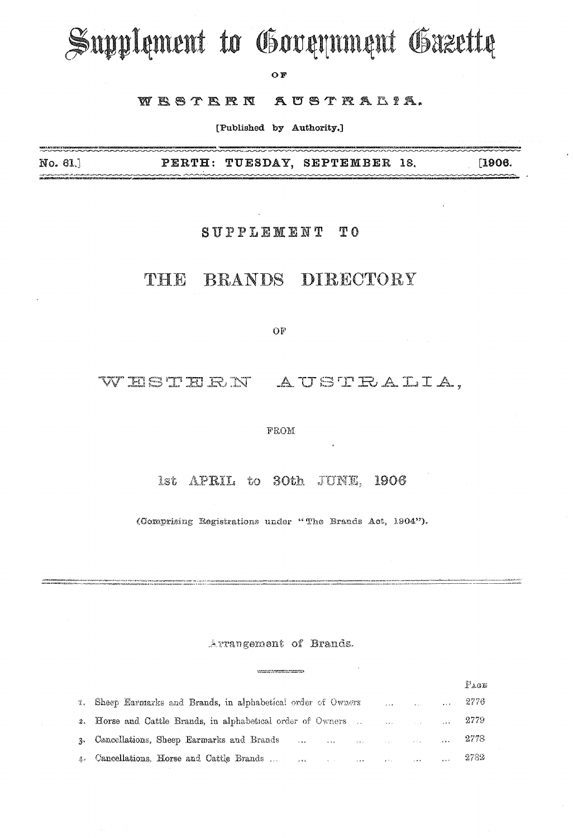# Supplement to Government Gazette

OF

#### WESTERN AUSTRALIA.

[Published by Authority.]

No. 61.] PERTH: TUESDAY, SEPTEMBER 18. [1906. n et indikustraalise fra så när att när met till antallise.<br>**Spinster for till berutt Aristots att start start start** 

### SUPPLEMENT TO

# THE BRANDS DIRECTORY

OF

# WESTERN AUSTRALIA,

#### **FROM**

#### 1st APRIL to 30th JUNE, 1906

(Comprising Registrations under "The Brands Act, 1904").

#### Arrangement of Brands.

|                                                                                                                                                                                                                                                                             | $P_{AGE}$ |
|-----------------------------------------------------------------------------------------------------------------------------------------------------------------------------------------------------------------------------------------------------------------------------|-----------|
| $\ldots$ $\ldots$ $\ldots$ 2776<br>4. Sheep Earmarks and Brands, in alphabetical order of Owners                                                                                                                                                                            |           |
| 2. Horse and Cattle Brands, in alphabetical order of Owners    2779                                                                                                                                                                                                         |           |
| , and the same contract $\sim$ 100 $\mu$ $\sim$ 100 $\mu$ $\sim$ 2778 $\mu$<br>3. Cancellations, Sheep Earmarks and Brands                                                                                                                                                  |           |
| and the contract of the contract of the contract of the contract of the contract of the contract of the contract of the contract of the contract of the contract of the contract of the contract of the contract of the contra<br>4. Cancellations, Horse and Cattle Brands |           |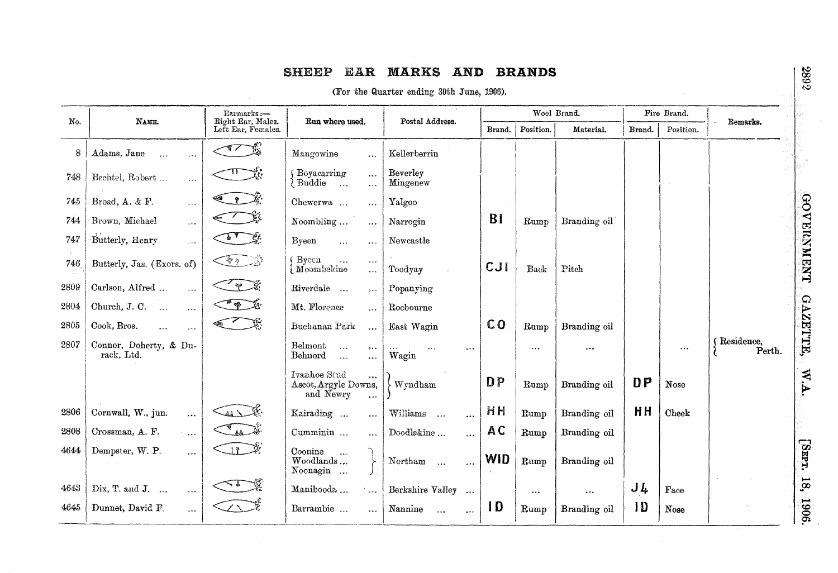# SHEEP EAR MARKS AND BRANDS

(For the Quarter ending 30th June, 1906).

| No.  | NAME.                                       | Earmarks:-<br>Right Ear, Males.                                                                                                                                                                                                                                                                                                                     | Run where used.                                                                            | Postal Address.                            |            | Wool Brand. |              |                | Fire Brand. | Remarks.              |                         |
|------|---------------------------------------------|-----------------------------------------------------------------------------------------------------------------------------------------------------------------------------------------------------------------------------------------------------------------------------------------------------------------------------------------------------|--------------------------------------------------------------------------------------------|--------------------------------------------|------------|-------------|--------------|----------------|-------------|-----------------------|-------------------------|
|      |                                             | Left Ear, Females.                                                                                                                                                                                                                                                                                                                                  |                                                                                            |                                            | Brand.     | Position.   | Material.    | Brand.         | Position.   |                       |                         |
| 8    | Adams, Jane<br>$\ddotsc$<br>$\ddotsc$       | $\sqrt{1 - \frac{1}{2}}$                                                                                                                                                                                                                                                                                                                            | Mangowine<br>$\cdots$                                                                      | Kellerberrin                               |            |             |              |                |             |                       |                         |
| 748  | Bechtel, Robert<br>$\ddotsc$                |                                                                                                                                                                                                                                                                                                                                                     | Boyacarring<br>$\ddotsc$<br>Buddie<br>$\ldots$<br>$\ddotsc$                                | Beverley<br>Mingenew                       |            |             |              |                |             |                       |                         |
| 745  | Broad, A. & F.<br>$\cdots$                  | $\gamma$                                                                                                                                                                                                                                                                                                                                            | Chewerwa<br>$\cdots$                                                                       | Yalgoo                                     |            |             |              |                |             |                       |                         |
| 744  | Brown, Michael<br>$\ddotsc$                 |                                                                                                                                                                                                                                                                                                                                                     | Noombling<br>$\ddotsc$                                                                     | Narrogin                                   | BI         | Rump        | Branding oil |                |             |                       |                         |
| 747  | Butterly, Henry<br>$\sim$ $\sim$            |                                                                                                                                                                                                                                                                                                                                                     | Byeen<br>$\cdots$<br>$\bullet$ $\bullet$ $\circ$                                           | Newcastle                                  |            |             |              |                |             |                       |                         |
| 746  | Butterly, Jas. (Exors. of)                  | $\begin{picture}(22,10) \put(0,0){\line(1,0){10}} \put(15,0){\line(1,0){10}} \put(15,0){\line(1,0){10}} \put(15,0){\line(1,0){10}} \put(15,0){\line(1,0){10}} \put(15,0){\line(1,0){10}} \put(15,0){\line(1,0){10}} \put(15,0){\line(1,0){10}} \put(15,0){\line(1,0){10}} \put(15,0){\line(1,0){10}} \put(15,0){\line(1,0){10}} \put(15,0){\line(1$ | Byeen<br>$\ddotsc$<br>$\alpha \leftrightarrow \alpha$<br>Moombekine<br>$\ddotsc$           | Toodyay                                    | CJI        | <b>Back</b> | Pitch        |                |             |                       | <b>СЮ УЕКИМЕДТ</b>      |
| 2809 | Carlson, Alfred<br>$\overline{\mathcal{L}}$ | $\mathscr{C}$ $\mathscr{C}$                                                                                                                                                                                                                                                                                                                         | Riverdale<br>$\bullet\bullet\bullet$                                                       | Popanying                                  |            |             |              |                |             |                       |                         |
| 2804 | Church, J. C.<br>$\ddotsc$<br>$\cdots$      | $\mathbb{E} \mathbb{E} \mathbb{E}$                                                                                                                                                                                                                                                                                                                  | Mt. Florence<br>$\cdots$                                                                   | Roebourne                                  |            |             |              |                |             |                       |                         |
| 2805 | Cook, Bros.<br>$\ddotsc$                    |                                                                                                                                                                                                                                                                                                                                                     | Buchanan Park<br>$\ddot{\phantom{a}}$                                                      | East Wagin                                 | CO         | Rump        | Branding oil |                |             |                       |                         |
| 2807 | Connor, Doherty, & Du-<br>rack, Ltd.        |                                                                                                                                                                                                                                                                                                                                                     | Belmont<br>$\ddotsc$<br>0.1.4<br>Behnord<br>$\ddotsc$<br>$\cdots$                          | $\bullet$ + $\bullet$<br>$\cdots$<br>Wagin |            | $\cdots$    | $\cdots$     |                | $\cdots$    | (Residence,<br>Perth. | <b>GAZETTE</b>          |
|      |                                             |                                                                                                                                                                                                                                                                                                                                                     | Ivanhoe Stud<br>$\cdots$<br>Ascot, Argyle Downs,<br>and Newry<br>$\overline{\mathbf{a}}$ . | Wyndham                                    | DP         | Rump        | Branding oil | DP             | Nose        |                       | W.A.                    |
| 2806 | Cornwall, W., jun.<br>$\ddotsc$             | $\mathcal{A}$                                                                                                                                                                                                                                                                                                                                       | Kairading<br>5.5.6                                                                         | Williams<br>$\cdots$                       | HH         | Rump        | Branding oil | HH             | Cheek       |                       |                         |
| 2808 | Crossman, A. F.<br>المعمارك                 | $\mathbb{Z}_4$                                                                                                                                                                                                                                                                                                                                      | Cumminin<br>$\overline{\phantom{a}}$                                                       | Doodlakine<br>$\cdots$                     | AC         | Rump        | Branding oil |                |             |                       |                         |
| 4644 | Dempster, W. P.<br>.                        | $\Box 1$                                                                                                                                                                                                                                                                                                                                            | Coonine<br>$\overline{a}$<br>Woodlands<br>Noonagin $\ldots$                                | Northam<br>$\sim$<br>$\cdots$              | <b>WID</b> | Rump        | Branding oil |                |             |                       | [Smr.                   |
| 4643 | Dix, T. and J.<br>$\ldots$                  | $\leq$ ?                                                                                                                                                                                                                                                                                                                                            | Manibooda<br>$\frac{1}{2}$                                                                 | Berkshire Valley<br>$\cdots$               |            | $\cdots$    | $\cdots$     | $J\,l_{\rm t}$ | Face        |                       | $\overline{\mathbf{g}}$ |
| 4645 | Dunnet, David F.<br>$\cdots$                | $\mathcal{L}\setminus\mathcal{L}$                                                                                                                                                                                                                                                                                                                   | Barrambie<br>$\ddotsc$                                                                     | Nannine<br>$\sim 0.4$<br>$\cdots$          | ID         | Rump        | Branding oil | 1D             | Nose        |                       | 1906                    |

2892

 $\overline{\phantom{a}}$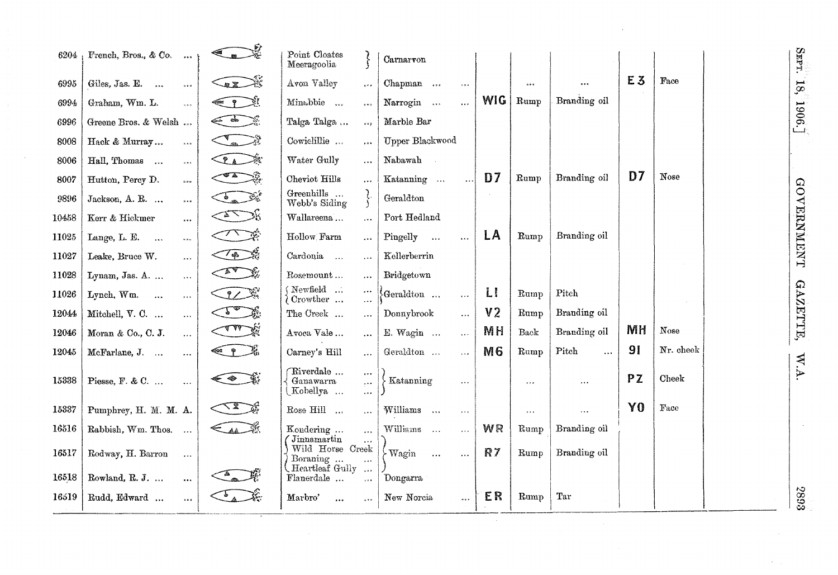| 6204  | French, Bros., & Co.<br>0.66                     | AN                                       | Point Cloates<br>Meeragoolia                                            | Carnarvon                              |                |          |                   |                |           |
|-------|--------------------------------------------------|------------------------------------------|-------------------------------------------------------------------------|----------------------------------------|----------------|----------|-------------------|----------------|-----------|
| 6995  | Giles, Jas. E.<br>5.68                           | $\bigotimes$                             | Avon Valley<br>$\dot{\phi}$ e a                                         | Chapman<br>$\ddot{\phantom{0}}$        |                |          | $\ddotsc$         | E3             | Face      |
| 6994  | Graham, Wm. L.<br>$\cdots$                       | $\leftarrow$ ?                           | Minabbie<br>$\circ \circ \circ$                                         | Narrogin<br>$\ldots$                   | WIG            | Rump     | Branding oil      |                |           |
| 6996  | Greene Bros. & Welsh                             | $\leftarrow$ $\leftarrow$ $\leftarrow$   | Talga Talga<br>0.29                                                     | Marble Bar                             |                |          |                   |                |           |
| 8008  | Hack & Murray<br>$\lambda$ and                   |                                          | Cowielillie<br>$\ddot{\text{a}}$ as a                                   | <b>Upper Blackwood</b>                 |                |          |                   |                |           |
| 8006  | Hall, Thomas<br>$\alpha + \epsilon$              | CLA FE                                   | Water Gully<br>$\cdots$                                                 | Nabawah                                |                |          |                   |                |           |
| 8007  | Hutton, Percy D.<br>$\alpha$ o o                 | $\sum_{i=1}^{n}$                         | Cheviot Hills<br>$\cdots$                                               | Katanning<br>$\ddotsc$                 | D7             | Rump     | Branding oil      | D7             | Nose      |
| 9896  | Jackson, A. R.<br>$\alpha \bullet \delta$        | Company                                  | Greenhills<br>ح کي.<br>فر<br>Webb's Siding                              | Geraldton                              |                |          |                   |                |           |
| 10458 | Kerr & Hickmer<br>$\cdots$                       | $\leq$ $\leq$ $\leq$                     | Wallareena<br>$\cdots$                                                  | Port Hedland                           |                |          |                   |                |           |
| 11025 | Lange, L. E.<br>$\ddotsc$<br>$\sigma$ o $\omega$ | $\sqrt{2}$                               | Hollow Farm<br>$\cdots$                                                 | Pingelly<br>$\cdots$<br>$\ldots$       | LA             | Rump     | Branding oil      |                |           |
| 11027 | Leake, Bruce W.<br>$\ldots$                      | $\sqrt{\frac{4}{9}}$                     | Cardonia<br>$\cdots$                                                    | Kellerberrin                           |                |          |                   |                |           |
| 11028 | Lynam, Jas. A.<br>$\ldots$                       | $\overline{A^*}$                         | Rosemount<br>$\cdots$                                                   | Bridgetown                             |                |          |                   |                |           |
| 11026 | Lynch, Wm.<br>$\sim$<br>$\bar{\omega}$ is a      | JZ X                                     | (Newfield<br>$\dots$<br>$\delta$ Crowther<br>$\ddotsc$                  | $\Theta$ eraldton<br>$\cdots$          | LI             | Rump     | Pitch             |                |           |
| 12044 | Mitchell, V. C.<br>$\overline{\mathcal{L}}$ .    | $\sqrt{1-\frac{1}{2}}$                   | The Creek<br>$\cdots$                                                   | Donnybrook<br>$\cdots$                 | V <sub>2</sub> | Rump     | Branding oil      |                |           |
| 12046 | Moran & Co., C. J.<br>$\ldots$                   | <b>AMAR</b>                              | Avoca Vale<br>$\cdots$                                                  | E. Wagin<br>$\ddotsc$                  | <b>MH</b>      | Back     | Branding oil      | MH             | Nose      |
| 12045 | McFarlane, J.<br>$\mathbf{1}$                    | $\leftarrow$ $\rightarrow$ $\frac{1}{2}$ | Carney's Hill<br>$\ddotsc$                                              | Geraldton<br>$\ddotsc$                 | M <sub>6</sub> | Rump     | Pitch<br>$\cdots$ | 9 <sub>1</sub> | Nr. cheek |
| 15338 | Piesse, F. & C.<br>$\cdots$                      | $\iff$                                   | Riverdale<br>$\ldots$<br>Ganawarra<br>$\cdots$<br>Kobellya<br>$\ddotsc$ | Katanning<br>$\ldots$                  |                | $\cdots$ | $\cdots$          | PZ             | Cheek     |
| 15337 | Pumphrey, H. M. M. A.                            | $\triangle$                              | Rose Hill<br>$\cdots$                                                   | Williams<br>$\sim$<br>$\ldots$         |                | $\ldots$ | $\ddots$          | Y <sub>0</sub> | Face      |
| 16516 | Rabbish, Wm. Thos.<br>$\sim$                     | $\epsilon$                               | Kondering<br>$\ddotsc$                                                  | Williams<br>$\sim$<br>$\sim$ .         | <b>WR</b>      | Rump     | Branding oil      |                |           |
| 16517 | Rodway, H. Barron<br>$\cdots$                    |                                          | Jinnamartin<br>Wild Horse Creek<br>Boraning<br>Heartleaf Gully          | $\sim$ Wagin<br>$\ddotsc$<br>$\ddotsc$ | R7             | Rump     | Branding oil      |                |           |
| 16518 | Rowland, R. J.<br>$\ddotsc$                      |                                          | $\ddot{\phantom{a}}$<br>Flanerdale<br>$\overline{\phantom{a}}$          | Dongarra                               |                |          |                   |                |           |
| 16519 | Rudd, Edward<br>0.05                             | $\mathcal{L}_{\mathbf{A}}$               | Marbro'<br>$\cdots$<br>5.5.5                                            | New Norcia<br>$\ldots$                 | ER             | Rump     | Tar               |                |           |

**GOVERNMENT** 

SEPT.  $18, 1906$ .

GAZETTE, W.A.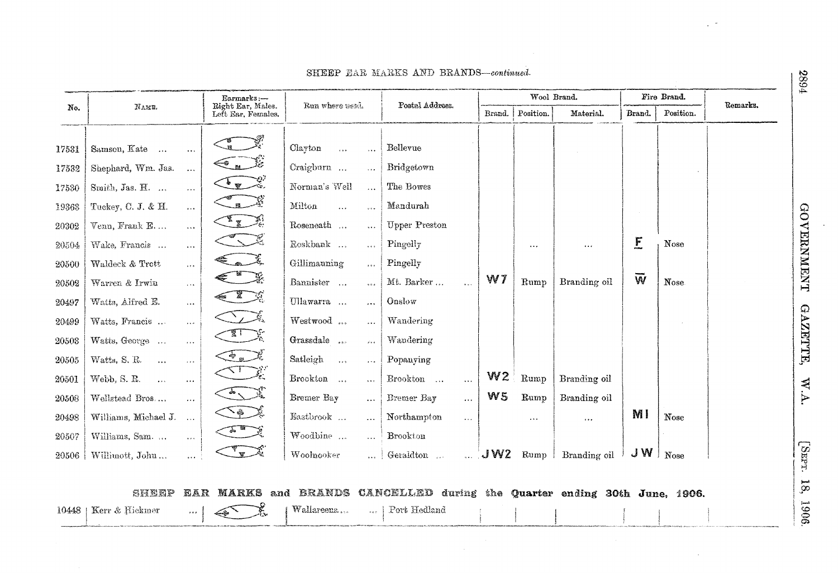|       |                                  |                               | Earmarks:-                              | Run where used.                               | Postal Address.                                      |                      |        | Wool Brand. |                       |                    | Fire Brand. | Remarks. |
|-------|----------------------------------|-------------------------------|-----------------------------------------|-----------------------------------------------|------------------------------------------------------|----------------------|--------|-------------|-----------------------|--------------------|-------------|----------|
| No.   | NAME.                            |                               | Right Ear, Males.<br>Left Ear, Females. |                                               |                                                      |                      | Brand. | Position.   | Material.             | Brand.             | Position.   |          |
| 17531 | Samson, Kate                     | $\ldots$                      |                                         | Clayton<br>$\overline{a}$<br>$\bar{\nu}$ .    | Bellevue                                             |                      |        |             |                       |                    |             |          |
| 17532 | Shephard, Wm. Jas.               | $\ldots$                      | $\widehat{\mathcal{F}}$                 | Craigburn<br>$\cdots$                         | Bridgetown                                           |                      |        |             |                       |                    |             |          |
| 17530 | Smith, Jas. H.                   | $\ldots$                      | $\frac{1}{\sqrt{2}}$                    | Norman's Well<br>$\dddotsc$                   | The Bowes                                            |                      |        |             |                       |                    |             |          |
| 19363 | Tuckey, C. J. & H.               | $\cdots$                      | $\mathbb{Z}$                            | Milton<br>$\cdots$<br>$\frac{1}{2}$           | Mandurah                                             |                      |        |             |                       |                    |             |          |
| 20302 | Venn, Frank E                    | $\ldots$                      | $\mathbb{Z}_2$                          | Roseneath<br>$\ddotsc$                        | <b>Upper Preston</b>                                 |                      |        |             |                       |                    |             |          |
| 20504 | Wake, Francis                    | $\ldots$                      | くろ                                      | Roskbank<br>$\bar{\mathbf{z}}$ .              | Pingelly                                             |                      |        | $\cdots$    | $\bullet$ + $\bullet$ | E                  | Nose        |          |
| 20500 | Waldeck & Trott                  | $\alpha$ and $\alpha$ .       | $\epsilon$                              | Gillimauning<br>$\cdots$                      | Pingelly                                             |                      |        |             |                       |                    |             |          |
| 20502 | Warren & Irwin                   | $\cdots$                      |                                         | Bannister<br>500                              | Mt. Barker                                           |                      | W7     | Rump        | Branding oil          | $\bar{\mathsf{w}}$ | Nose.       |          |
| 20497 | Watts, Alfred E.                 | $\ldots$                      | EL 1                                    | Ullawarra<br>$\ddotsc$                        | Onslow                                               |                      |        |             |                       |                    |             |          |
| 20499 | Watts, Francis                   | $\cdots$                      | $\sum_{\lambda}$                        | Westwood<br>$\cdots$                          | Wandering                                            |                      |        |             |                       |                    |             |          |
| 20503 | Watts, George                    | $\epsilon \rightarrow \infty$ | $\sqrt{2}$                              | Grassdale<br>$\vec{a}^{\prime}$ and $\vec{a}$ | Wandering                                            |                      |        |             |                       |                    |             |          |
| 20505 | Watts, S. R.<br>$\ldots$         | $\sim$ $\sim$ $\sim$          | $\mathbf{F}$                            | Satleigh<br>$\sim$<br>$\cdots$                | Popanying                                            |                      |        |             |                       |                    |             |          |
| 20501 | Webb, S. R.<br>$\mathbf{r}$ is a | $\ldots$                      | $\sigma_{\mathbb{R}}$                   | Brookton<br>$\cdots$                          | ${\bf Brook} \\ {\bf on} \quad \ldots$               | $\sim$ $\sim$ $\sim$ | W2     | Rump        | Branding oil          |                    |             |          |
| 20508 | Wellstead Bros                   | $\cdots$                      | $\frac{1}{\sqrt{2}}$                    | Bremer Bay<br>$\ddotsc$                       | Bremer Bay                                           | $\ddotsc$            | W5     | Rump        | Branding oil          |                    |             |          |
| 20498 | Williams, Michael J.             | $\sim$                        | $\sum_{\ell}$                           | Eastbrook<br>.                                | Northampton                                          | $\ddotsc$            |        | $\ldots$    | $\epsilon + \epsilon$ | M I                | Nose        |          |
| 20507 | Williams, Sam.                   | $\bar{a}$ , $\bar{c}$         | $\frac{1}{\sqrt{2}}$                    | Woodbine<br>$\dddotsc$                        | Brookton                                             |                      |        |             |                       |                    |             |          |
| 20506 | Williuott, John                  |                               | <b>W</b>                                | Woolnooker<br>$\cdot$ .                       | Geraldton                                            | $\sim$               | JW2    | Rump        | Branding oil          | J W                | Nose        |          |
|       |                                  |                               |                                         |                                               |                                                      |                      |        |             |                       |                    |             |          |
|       | SHEEP                            | EAR                           | <b>MARKS</b> and BRANDS                 |                                               | CANCELLED during the Quarter ending 30th June, 1906. |                      |        |             |                       |                    |             |          |
| 10448 | Kerr & Hickmer                   | $\sigma$ $\sigma$ $\sigma$    |                                         | Wallareena                                    | Port Hedland                                         |                      |        |             |                       |                    |             |          |

SHEEP EAR MARKS AND BRANDS-continued.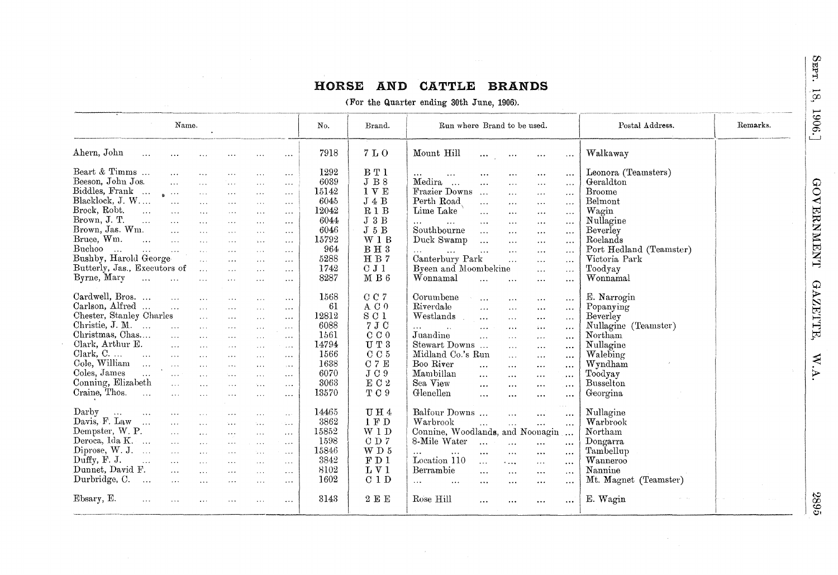# HORSE AND CATTLE BRANDS

(For the Quarter ending 30th June, 1906).

| Name.                                                                                                                                                                                                                                                                                                                                                                                                                                                                                                                                                                                                                                                                                                                                                                                                                                                                                                                                                                                                                                                                                                                                                                                                               | No.                                                                                            | Brand.                                                                                                        | Run where Brand to be used.                                                                                                                                                                                                                                                                                                                                                                                                                                                                                                                                                                                                                                                                                                                                                                                                    | Postal Address.                                                                                                                                                               | Remarks. |
|---------------------------------------------------------------------------------------------------------------------------------------------------------------------------------------------------------------------------------------------------------------------------------------------------------------------------------------------------------------------------------------------------------------------------------------------------------------------------------------------------------------------------------------------------------------------------------------------------------------------------------------------------------------------------------------------------------------------------------------------------------------------------------------------------------------------------------------------------------------------------------------------------------------------------------------------------------------------------------------------------------------------------------------------------------------------------------------------------------------------------------------------------------------------------------------------------------------------|------------------------------------------------------------------------------------------------|---------------------------------------------------------------------------------------------------------------|--------------------------------------------------------------------------------------------------------------------------------------------------------------------------------------------------------------------------------------------------------------------------------------------------------------------------------------------------------------------------------------------------------------------------------------------------------------------------------------------------------------------------------------------------------------------------------------------------------------------------------------------------------------------------------------------------------------------------------------------------------------------------------------------------------------------------------|-------------------------------------------------------------------------------------------------------------------------------------------------------------------------------|----------|
| Ahern, John<br>$\sim 10$<br>$\sim$ $\sim$<br>$\sim 100$<br>$\cdots$<br>$\cdots$                                                                                                                                                                                                                                                                                                                                                                                                                                                                                                                                                                                                                                                                                                                                                                                                                                                                                                                                                                                                                                                                                                                                     | 7918                                                                                           | 7 L O                                                                                                         | Mount Hill<br>$\ldots$<br>$\sim$ $\sim$ $\sim$<br>$\sim$ $\sim$ $\sim$<br>$\ldots$                                                                                                                                                                                                                                                                                                                                                                                                                                                                                                                                                                                                                                                                                                                                             | Walkaway                                                                                                                                                                      |          |
| Beart & Timms<br>$\ddotsc$<br>$\sim$ $\sim$<br>$\sim$ $\sim$ $\sim$<br>$\sim 100$<br>$\ldots$<br>Beeson, John Jos.<br>122<br>$\ddotsc$<br>$\ddots$<br>$\ldots$<br>$\cdots$<br>Biddles, Frank<br>$\mathbf{z}_n \rightarrow \infty$<br>$\sim 100$<br>$\sim$ $\sim$ $\sim$<br>$\cdots$<br>$\cdots$<br>Blacklock, J. W<br>$\sim$ $\sim$<br>$\cdots$<br>$\sim$ $\sim$ $\sim$<br>$\cdots$<br>$\cdots$<br>Brock, Robt.<br>$\sim$<br>$\ddotsc$<br>$\sim$ $\sim$ $\sim$<br>$\cdots$<br>$\cdots$<br>$\sim$ $\sim$ $\sim$<br>Brown, J. T.<br>$\sim$ 100 $\sim$<br>$\sim 100$<br>$\ddots$<br>$\sim$ $\sim$ $\sim$<br>$\cdots$<br>$\sim$ $\sim$<br>Brown, Jas. Wm.<br>$\cdots$<br>$\sim$ .<br>$\cdots$<br>$\cdots$<br>$\cdots$<br>Bruce, Wm.<br>$\sim 100$<br>$\ldots$<br>$\ldots$<br>$\sim$ $\sim$ $\sim$<br>$\lambda$ . $\lambda$<br>$\sim$ $\sim$<br>Buchoo<br>$\sim 100$<br>$\ldots$<br>$\sim 100$<br>$\sim 100$<br>$\ldots$<br>$\mathbf{r} \leftarrow \mathbf{r}$ .<br>$\sim$ $\sim$ $\sim$<br>Bushby, Harold George<br>$\sim 10^{-11}$<br>$\cdots$<br>$\cdots$<br>$\ldots$<br>Butterly, Jas., Executors of<br>$\sim$<br>$\cdots$<br>$\cdots$<br>$\ldots$<br>Byrne, Mary<br>$\sim$<br>$\sim 100$ km s $^{-1}$<br>$\sim 100$ | 1292<br>6039<br>15142<br>6045<br>12042<br>6044<br>6046<br>15792<br>964<br>5288<br>1742<br>8287 | BT1<br>$\rm J~B~8$<br>1 V E<br>J 4 B<br>R1B<br>J 3 B<br>J 5 B<br>W1B<br>$B$ H $3$<br>HB7<br>CJ1<br>M B 6      | $\ldots$ .<br>$\cdots$<br>$\ldots$<br>$\cdots$<br>$\cdots$<br>$\cdots$<br>Medira<br>$\cdots$<br>$\sim$ $\sim$<br>$\cdots$<br>$\cdots$<br>Frazier Downs<br>$\sim 10$<br>$\cdots$<br>$\sim$ $\sim$ $\sim$<br>$\ldots$<br>Perth Road<br>$\ddotsc$<br>$\cdots$<br>$\ldots$<br>$\cdots$<br>Lime Lake<br>$\ldots$<br>$\ldots$<br>$\sim$ $\sim$ $\sim$<br>$\cdots$<br>$\cdots$<br>$\cdots$<br>$\sim$ $\sim$<br>$\dots$<br>$\cdots$ .<br>$\cdots$<br>Southbourne<br>$\sim 100$<br>$\ldots$<br>$\cdots$<br>$\ldots$<br>Duck Swamp<br>$\ddotsc$<br>$\ldots$<br>$\alpha$ and $\alpha$<br>$\bullet$ $\bullet$ $\bullet$<br>$\ldots$<br>$\cdots$<br>$\ldots$<br>$\cdots$<br>$\cdots$<br>Canterbury Park<br>$\cdots$<br>$\ldots$<br>$\sim$ $\sim$ $\sim$<br>Byeen and Moombekine<br>$\sim$ $\sim$ $\sim$<br>$\sim$ $\sim$ $\sim$<br>Wonnamal | Leonora (Teamsters)<br>Geraldton<br><b>Broome</b><br>Belmont<br>Wagin<br>Nullagine<br>Beverley<br>Roelands<br>Port Hedland (Teamster)<br>Victoria Park<br>Toodyay<br>Wonnamal |          |
| $\ldots$<br>$\sim$ $\sim$ $\sim$<br>$\cdots$<br>Cardwell, Bros.<br>$\ldots$<br>$\sim$ $\sim$ $\sim$<br>$\cdots$<br>$\cdots$<br>Carlson, Alfred<br>$\sim$ .<br>$\cdots$<br>$\sim$ $\sim$ $\sim$<br>$\cdots$<br>$\cdots$<br>Chester, Stanley Charles<br>$\sim 100$<br>$\ldots$<br>$\sim$ $\sim$ $\sim$<br>$\cdots$<br>Christie, J. M.<br>$\ddotsc$<br>$\sim$ $\sim$<br>$\sim$ $\sim$ $\sim$<br>$\sim$ $\sim$ $\sim$<br>$\alpha \sim \alpha$<br>Christmas, Chas<br>$\ldots$<br>$\ldots$ .<br>$\sim$ - $\sim$<br>$\cdots$<br>$\sim$ $\sim$ $\sim$<br>Clark, Arthur E.<br>$\sim$<br>$\ldots$<br>$\sim$ $\sim$ $\sim$<br>$\sim$ $\sim$ $\sim$<br>$\cdots$<br>Clark, C. $\dots$ $\dots$<br>$\ldots$<br>$\ldots$<br>$\cdots$<br>$\sim$ $\sim$ $\sim$<br>$\sim$ $\sim$ $\sim$<br>Cole, William<br>$\sim 100$ km s $^{-1}$<br>$\sim$ $\sim$<br>$\sim 100$ km $^{-1}$<br>$\sim$<br>$\sim 10$<br>Coles, James<br>$\sim$ $\sim$<br>$\sim 100$<br>$\cdots$<br>$\ldots$<br>$\sim$ . $\sim$<br>$\sim$ $\sim$<br>Conning, Elizabeth<br>$\sim 100$<br>$\mathbf{A}$<br>$\cdots$<br>$\ldots$<br>$\sim$<br>Craine, Thos.<br>$\mathbf{z} \leftarrow \mathbf{z}$ .<br>$\cdots$<br>$\cdots$<br>$\cdots$<br>$\ldots$                         | 1568<br>61<br>12812<br>6088<br>1561<br>14794<br>1566<br>1638<br>6070<br>3063<br>13570          | CC7<br>A C 0<br>S <sub>C</sub> 1<br>7 J C<br>C C 0<br>UT3<br>C C 5<br>C 7 E<br>J C9<br>EC <sub>2</sub><br>TC9 | $\ldots$<br>$\ldots$ .<br>$\cdots$<br>$\cdots$<br>Corumbene<br>$\cdots$<br>$\cdots$<br>$\cdots$<br>$\cdots$<br>Riverdale<br>$\cdots$<br>$\ldots$<br>$\cdots$<br>$\cdots$<br>Westlands<br>$\cdots$<br>$\sim 10$<br>$\cdots$<br>$\cdots$<br>$\cdots$<br>$\mathbf{r}$ .<br>$\ldots$<br>$\cdots$<br>$\cdots$<br>$\cdots$<br>Juandine<br>$\sim$<br>$\cdots$<br>$\cdots$<br>$\cdots$<br>Stewart Downs<br>$\cdots$<br>$\ldots$<br>$\cdots$<br>Midland Co.'s Run<br>$\sim 100$<br>$\sim$ $\sim$ $\sim$<br>$\cdots$<br>Boo River<br>$\ddotsc$<br>$\cdots$<br>$\cdots$<br>$\cdots$<br>Mambillan<br>$\cdots$<br>$\sim$ $\sim$ $\sim$<br>$\cdots$<br>$\sim 0.4$<br>Sea View<br>$\cdots$<br>$\cdots$<br>$\cdots$<br>$\cdots$<br>Glenellen<br>$\cdots$<br>$\cdots$<br>$\cdots$<br>$\cdots$                                                   | E. Narrogin<br>Popanying<br>Beverley<br>Nullagine (Teamster)<br>Northam<br>Nullagine<br>Walebing<br>Wyndham<br>Toodyay<br><b>Busselton</b><br>Georgina                        |          |
| Darby<br>$\mathbf{r}$<br>$\sim 10^{-1}$<br>$\cdots$<br>$\sim$ $\sim$ $\sim$<br>$\sim 100$<br>$\sim 100$<br>$\cdots$<br>Davis, F. Law<br>$\sim 100$<br>$\ddotsc$<br>$\sim$ $\sim$ $\sim$<br>$\sim 100$<br>$\Delta \rightarrow \infty$<br>$\sim$<br>Dempster, W. P.<br>$\sim 10^{-1}$<br>$\cdots$<br>$\sim$ $\sim$<br>$\sim 100$<br>$\ldots$<br>Deroca, Ida K.<br>$\ldots$<br>$\alpha$ is $\alpha$ .<br>$\sim$ $\sim$ $\sim$<br>$\sim$ $\sim$ $\sim$<br>$\cdots$<br>Diprose, W. J.<br>$\sim 100$<br>$\sim$ $\sim$ $\sim$<br>$\sim$ $\sim$ $\sim$<br>$\cdots$<br>See al<br>Duffy, F. J.<br>$\sim 10$<br>$\sim$ $\sim$<br>$\ldots$<br>$\sim 100$ km $^{-1}$<br>$\cdots$<br>$\cdots$<br>Dunnet, David F.<br>$\mathbf{A}$<br>$\sim 10$<br>$\sim$ $\sim$ $\sim$<br>$\cdots$<br>$\sim 100$<br>Durbridge, C.<br>$\sim$<br>$\sim$ $\sim$ $\sim$<br>$\cdots$<br>$\sim$ $\sim$ $\sim$<br>$\cdots$<br>$\sim$ $\sim$                                                                                                                                                                                                                                                                                                              | 14465<br>3862<br>15852<br>1598<br>15846<br>3842<br>8102<br>1602                                | U H 4<br>1 F D<br>W <sub>1</sub> D<br>CD7<br>W D 5<br>F D 1<br>LV1<br>C <sub>1</sub> D                        | e e si<br>Balfour Downs<br>$\ldots$<br>$\cdots$<br>$\cdots$<br>Warbrook<br>$\cdots$<br>$\cdots$<br>$\cdots$<br>$\cdots$<br>Connine, Woodlands, and Noonagin<br>8-Mile Water<br>$\ldots$<br>$\sim$ $\sim$ $\sim$<br>$\sim$ $\sim$ $\sim$<br>$\cdots$<br>$\cdots$<br>$\cdots$<br>$\sim$ $\sim$<br>$\sim$ $\sim$ $\sim$<br>$\cdots$<br>$\ldots$<br>Location 110<br>$\alpha$ and $\alpha$<br>$+$<br>$\ldots$<br>$\cdots$<br>Berrambie<br>$\cdots$<br>$\sim$ $\sim$ $\sim$<br>$\ldots$<br>$\cdots$<br>$\cdots$<br>$\cdots$<br>$\cdots$<br>$\cdots$<br>$\cdots$<br>$\cdots$                                                                                                                                                                                                                                                          | Nullagine<br>Warbrook<br>Northam<br>Dongarra<br>Tambellup<br>Wanneroo<br>Nannine<br>Mt. Magnet (Teamster)                                                                     |          |
| Ebsary, E.<br>$\sim$ $\sim$ $\sim$<br>$\ldots$<br>$\cdots$<br>$\cdots$<br>.                                                                                                                                                                                                                                                                                                                                                                                                                                                                                                                                                                                                                                                                                                                                                                                                                                                                                                                                                                                                                                                                                                                                         | 3143                                                                                           | 2E                                                                                                            | Rose Hill<br>$\ldots$<br>$\cdots$<br>$\cdots$<br>$\cdots$                                                                                                                                                                                                                                                                                                                                                                                                                                                                                                                                                                                                                                                                                                                                                                      | E. Wagin                                                                                                                                                                      |          |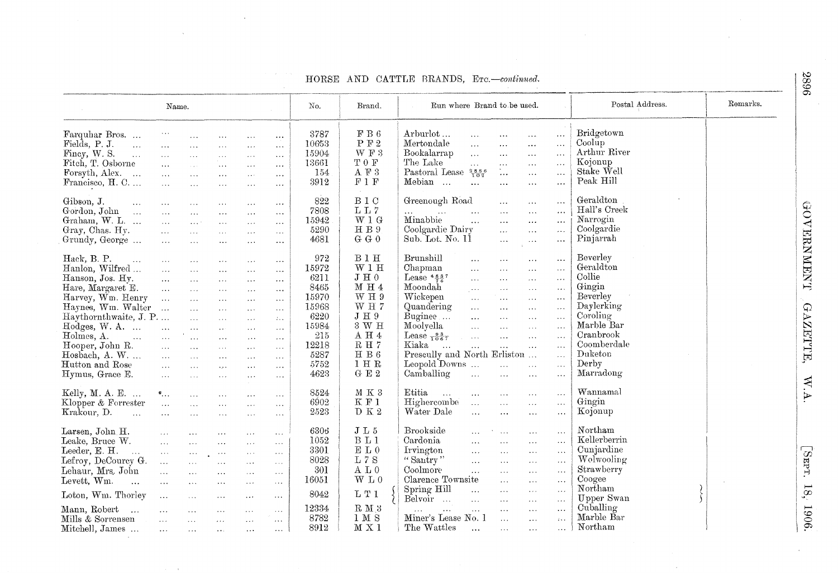|                               | Name.                      |                                         |                                           |                               |                                           | No.   | Brand.              | Postal Address.<br>Run where Brand to be used.                                                                                                            | Remarks. |
|-------------------------------|----------------------------|-----------------------------------------|-------------------------------------------|-------------------------------|-------------------------------------------|-------|---------------------|-----------------------------------------------------------------------------------------------------------------------------------------------------------|----------|
| Farquhar Bros                 |                            |                                         |                                           |                               |                                           | 3787  | $\rm F~B~6$         | Bridgetown<br>Arburlot<br>$\cdots$<br>$\ldots$<br>$\ldots$<br>$\cdots$                                                                                    |          |
| Fields, P. J.<br>$\ddotsc$    |                            | $\cdots$                                | $\ddotsc$                                 | $\sim$ $\sim$                 | $\ldots$                                  | 10653 | ${\bf P}$ F $2$     | Coolup<br>Mertondale<br>$\ldots$<br>$\ddotsc$<br>$\cdots$<br>$\ldots$                                                                                     |          |
| Finey, W. S.<br>$\sim$ .      | $\ldots$                   | $\ldots$                                | $\ldots$                                  | $\ldots$                      | $\sim$ $\sim$                             | 15904 | W F 3               | Arthur River<br>Bookalarrap<br>$\ldots$<br>$\cdots$                                                                                                       |          |
| Fitch, T. Osborne             | $\sim$ .                   | $\sim 10$                               | $\sim$ $\sim$ $\sim$                      | $\ldots$                      | $\ldots$                                  | 13661 | TOF                 | $\ldots$<br>$\ldots$<br>Kojonup<br>The Lake                                                                                                               |          |
|                               | $\sim 100$                 | $\bar{\nu}$ .                           | $\sim$ $\sim$ $\sim$                      | $\sim 10$                     | $\sim$ .                                  |       | A $\mathbb{F}$ 3    | $\sim 10$<br>$\ldots$<br>$\cdots$<br>$\sim$ $\sim$ $\sim$<br>$\mathbb{Z}_{\geq 0}$<br>Stake Well                                                          |          |
| Forsyth, Alex.<br>$\sim$      | $\sim$ $\sim$              | $\ldots$                                | $\sim$ $\sim$ $\sim$                      | $\sim$ $\sim$ $\sim$          | $\ldots$                                  | 154   |                     | Pastoral Lease $\frac{2886}{102}$<br>$\overline{\phantom{a}}$ .<br>$\ldots$<br>Peak Hill                                                                  |          |
| Francisco, H. C               | $\ddotsc$                  | $\cdots$                                | $\sim 100$                                | $\sim$ $\sim$ $\sim$          | $\ldots$                                  | 3912  | F1F                 | Mebian<br>$\dddotsc$<br>$\sim$ $\sim$<br>$\ldots$<br>$\ldots$<br>$\dots$                                                                                  |          |
| Gibson, J.<br>$\ddotsc$       | $\cdots$                   | $\sim$ $\sim$ $\sim$                    | $\cdots$                                  | $\sim$ $\sim$ $\sim$          | $\sim$ $\sim$                             | 822   | B <sub>1</sub> C    | Geraldton<br>Greenough Road<br>$\ddotsc$<br>$\cdots$<br>$\ldots$                                                                                          |          |
| Gordon, John<br>$\sim$ .      | $\sim 100$                 | $\ldots$                                | $\mathbf{A}$                              | $\sim$ $\sim$                 | $\sim 10$                                 | 7808  | LL7                 | $\operatorname{Hall}$ s Creek<br>$\cdots$<br>$\sim$ . $\sim$<br>$\ldots$ .<br>$\ldots$                                                                    |          |
| Graham, W. L.                 | $\ldots$                   | $\sim 10^{-4}$                          | $\ldots$                                  | $\sim$ $\sim$ $\times$        | $\sim$ $\sim$ $\sim$                      | 15942 | $W1$ G              | Minabbie<br>Narrogin<br>$\sim$<br>$\sim$<br>$\ddotsc$<br>$\ddotsc$                                                                                        |          |
| Gray, Chas. Hy.               | $\dddot{\phantom{0}}$      | $\overline{1}$ , $\overline{1}$         | $\sim$ $\sim$ $\sim$                      | $\sim$ $\sim$ $\sim$          | $\sim$ 4 $\sim$                           | 5290  | H B 9               | Coolgardie<br>Coolgardie Dairy<br>$\mathbf{r}$<br>$\sim$ $\sim$<br>$\cdots$                                                                               |          |
| Grundy, George                | $\sim$ .                   | $\cdots$                                | $\sim$ $\sim$ $\sim$                      | $\sim$ $\sim$ $\sim$          | $\ldots$                                  | 4681  | G G 0               | Pinjarrah<br>Sub. Lot. No. 11<br>$\ldots$<br>$\ldots$<br>$\ldots$                                                                                         |          |
| Hack, B. P.                   |                            |                                         |                                           |                               |                                           | 972   | B1H                 | Beverley<br>Brunshill                                                                                                                                     |          |
| $\sim 100$<br>Hanlon, Wilfred | $\sim$ $\sim$ $\sim$       | $\cdots$                                | $\cdots$                                  | $\sim$ $\sim$ $\sim$          | $\sim$ $\sim$ $\sim$                      | 15972 | W1H                 | $\sim$ .<br>$\ldots$<br>$\sim 100$<br>$\sim$ $\sim$ $\sim$<br>Geraldton<br>Chapman                                                                        |          |
|                               | $\ldots$                   | $\ldots$                                | $\ddotsc$                                 | $\ldots$                      | $\sim$ and                                |       | ${\rm J \ H \ 0}$   | $\sim$ .<br>$\ldots$<br>$\sim$ $\sim$ $\sim$<br>$\ldots$<br>Collie                                                                                        |          |
| Hanson, Jos. Hy.              | $\ddotsc$                  | $\mathbb{Z}^{\mathbb{Z}}$ .             | $\sim 10$                                 | $\sim$ $\sim$ $\sim$          | $\ldots$                                  | 6211  |                     | Lease $4.5.37$<br>$\ldots$<br>$\ldots$<br>$\sim 100$<br>$\ldots$                                                                                          |          |
| Hare, Margaret E.             | $\sim$ .                   | $\sim$ $\sim$ $\sim$                    | $\sim$ $\sim$ $\sim$                      | $\sim$ $\sim$                 | $\ldots$                                  | 8465  | M H 4               | Gingin<br>Moondah<br>$\sim$ $\sim$<br>$\sim$ $\sim$ $\sim$<br>$\sim 100$<br>$\sim$ $\sim$ $\sim$                                                          |          |
| Harvey, Wm. Henry             | $\sim 100$                 | $\ldots$                                | $\sim$ $\sim$ $\sim$                      | $\ldots$                      | $\ldots$                                  | 15970 | W H 9               | Wickepen<br>Beverley<br>$\ldots$<br>$\sim 100$<br>$\sim$ $\sim$ $\sim$<br>$\sim$ $\sim$ $\sim$                                                            |          |
| Haynes, Wm. Walter            | $\sim$                     | $\mathbf{A}$                            | $\sim$ $\sim$ $\sim$                      | $\sim$ $\sim$ $\sim$          | $\sim$ $\sim$ $\sim$                      | 15968 | $WH$ 7              | Daylerking<br>Quandering<br>$\sim 100$<br>$\sim$ $\sim$<br>$\sim 100$<br>$\sim$ $\sim$ $\sim$                                                             |          |
| Haythornthwaite, J. P         |                            | $\ddotsc$                               | $\sim$ $\sim$ $\sim$                      | $\sim$ $\sim$                 | $\mathcal{I}$                             | 6220  | $\rm J$ H $\rm 9$   | Coroling<br>Buginee<br>$\ddotsc$<br>$\ddotsc$<br>$\sim 100$<br>$\ldots$                                                                                   |          |
| Hodges, W. A.                 | $\sim$                     | $\dddotsc$                              | $\ldots$                                  | $\sim$ $\sim$ $\sim$          | $\ldots$                                  | 15984 | 3 W H               | Marble Bar<br>Moolyella<br>$\ddotsc$<br>$\ldots$<br>$\ddotsc$<br>$\sim$ .                                                                                 |          |
| Holmes, A.<br>$\sim 10^{-1}$  | $\mathcal{L}_{\text{max}}$ | $\sim$ $\sim$                           | $\sim 100$                                | $\ldots$                      | $\sim 100$                                | 215   | $\Lambda$ H $4$     | Cranbrook<br>Lease $\frac{93}{1067}$<br>$\sim 100$<br>$\dddotsc$<br>$\ddotsc$<br>$\ldots$                                                                 |          |
| Hooper, John R.               | $\ddotsc$                  | $\ddotsc$                               | $\cdots$                                  | $\ldots$                      | $\sim 100$                                | 12218 | $\mathcal{R}$ H $7$ | Coomberdale<br>Kiaka<br>$\mathbf{A}$ .<br>$\sim$ .<br>$\sim$<br>$\ldots$<br>$\ddotsc$                                                                     |          |
| Hosbach, A. W.                | $\ddotsc$                  | $\ddotsc$                               | $\ldots$                                  | $\ldots$                      | $\sim 100$                                | 5287  | H B $6$             | Prescully and North Erliston<br>Duketon<br>$\bar{\psi}$ .                                                                                                 |          |
| Hutton and Rose               | $\sim$ $\sim$              | $\sim$                                  |                                           | $\sim$ $\sim$ $\sim$          |                                           | 5752  | 1 H R               | Derby<br>Leopold Downs<br>$\ddotsc$<br>$\ddotsc$<br>$\ldots$                                                                                              |          |
| Hymus, Grace E.               | $\overline{1}$ .           |                                         | $\mathcal{L}_{\mathcal{F}}(\mathbf{r})$   |                               | $\sim$ $\sim$                             | 4623  | G E 2               | Marradong<br>Camballing<br>$\mathcal{L}_{\text{max}}$<br>$\sim$ .<br>$\ldots$<br>$\ldots$                                                                 |          |
|                               |                            | $\ldots$                                | $\sim$ $\sim$ $\sim$                      | $\sim$ $\sim$                 | $\rightarrow$ $\rightarrow$ $\rightarrow$ |       |                     |                                                                                                                                                           |          |
| Kelly, M. A. E.               | $^{\circ}$                 | $\mathbf{A}$                            | $\ldots$                                  | $\cdots$                      | $\sim$ $\sim$ $\sim$                      | 8524  | $M$ K 3             | Etitia<br>Wannamal<br>$\ddotsc$<br>$\ldots$<br>$\ldots$<br>$\ldots$<br>$\sim$ . $\sim$                                                                    |          |
| Klopper & Forrester           | $\mathcal{L}_{\text{max}}$ | $\overline{\mathcal{L}}$ .              | $\ldots$                                  | $\ldots$                      | $\sim$ $\sim$ $\sim$                      | 6902  | K F 1               | Gingin<br>Highercombe<br>$\sim 10$<br>$\sim$ $\sim$ $\sim$<br>$\ldots$<br>$\sim 100$                                                                      |          |
| Krakour, D.<br>$\ddotsc$      | $\cdots$                   | $\sim$ $\sim$                           | $\cdots$                                  | $\sim$ $\sim$ $\sim$          | $\ldots$                                  | 2523  | D K 2               | Kojonup<br>Water Dale<br>$\ldots$<br>$\ldots$<br>$\dots$<br>$\sim$ $\sim$ $\sim$                                                                          |          |
| Larsen, John H.               | $\sim 100$                 | $\ldots$                                | $\sim$ $\sim$ $\sim$                      | $\lambda \rightarrow \lambda$ | $\ddotsc$                                 | 6306  | J L 5               | Northam<br>Brookside<br>$\ddotsc$<br>$\cdots$<br>$\sim$ $\sim$ $\sim$<br>$\ldots$                                                                         |          |
| Leake, Bruce W.               | $\sim$ .                   | $\bar{\mathbf{v}}$ .                    | $\sim$ $\sim$ $\sim$                      | $\sim$ $\sim$                 | $\ldots$                                  | 1052  | B <sub>L</sub> 1    | Kellerberrin<br>Cardonia<br>$\ldots$<br>$\ldots$<br>$\ldots$<br>$\ldots$                                                                                  |          |
| Leeder, E. H.<br>$\ddotsc$    | $\ldots$                   | $\mathcal{L}(\mathcal{L}(\mathcal{L}))$ |                                           | $\sim$ .                      | $\ldots$                                  | 3301  | $\mathbf{E}$ L $0$  | Cunjardine<br>Irvington<br>$\ddotsc$<br>$\ldots$<br>$\cdots$<br>$\sim 10$                                                                                 |          |
| Lefroy, DeCourcy G.           | $\dddotsc$                 |                                         | $\rightarrow$ $\rightarrow$ $\rightarrow$ |                               |                                           | 8028  | $\mathbf{L}$ 7 S    | Wolwooling<br>"Santry"<br>$\bar{L}$ and<br>$\ddotsc$<br>$\cdots$<br>$\sim$ $\sim$ $\sim$                                                                  |          |
| Lehaur, Mrs. John             |                            | $\ldots$                                | $\ldots$                                  | $\sim$ 4 $\sim$               | $\cdots$                                  | 301   | A L 0               | Strawberry<br>Coolmore                                                                                                                                    |          |
|                               | $\ddotsc$                  | $\sim$ $\sim$                           | $\rightarrow$ $\rightarrow$ $\rightarrow$ | $\sim$ $\sim$ $\sim$          | $\ldots$                                  | 16051 | W L 0               | $\ldots$<br>$\ldots$<br>$\sim 100$<br>$\sim 100$<br>Coogee<br>Clarence Townsite                                                                           |          |
| Levett, $Wm$ .<br>$\ddotsc$   | $\sim$ $\sim$              | $\cdots$                                | $\cdots$                                  | $\sim$ $\sim$ $\sim$          | $\ldots$                                  |       |                     | $\ldots$<br>$\cdots$<br>$\sim$ $\sim$<br>Northam                                                                                                          |          |
| Loton, Wm. Thorley            | $\ldots$                   | $\cdots$                                | $\ldots$                                  | $\ldots$ .                    | $\ldots$                                  | 8042  | LT1                 | Spring Hill<br>$\overline{\mathcal{L}}$<br>$\ldots$<br>$\sim 100$<br>$\ldots$<br>Upper Swan<br>Belvoir<br>$\ddotsc$<br>$\ldots$<br>$\sim 100$<br>$\ldots$ |          |
| Mann, Robert<br>$\sim$        | $\ldots$                   | $\sim$ .                                | $\sim 100$                                | $\sim$ $\sim$ $\sim$          | $\sim$ $\sim$ $\sim$                      | 12334 | $R$ $M$ $3$         | Cuballing<br>$\ldots$<br>$\sim$ $\sim$<br>$\mathbf{1}$<br>$\ldots$<br>$\rightarrow$ $\rightarrow$ $\rightarrow$                                           |          |
| Mills & Sorrensen             | $\ddotsc$                  |                                         |                                           |                               |                                           | 8782  | 1 M S               | Marble Bar<br>Miner's Lease No. 1<br>$\mathbb{R}^{2}$ .<br>$\sim$ . $\sim$<br>$\ldots$                                                                    |          |
|                               |                            | $\ldots$                                | $\ldots$                                  | $\bullet$ $\bullet$ $\bullet$ | $\ldots$                                  | 8912  | M X 1               | Northam<br>The Wattles<br>$\ddotsc$                                                                                                                       |          |
| Mitchell, James               | $\sim$ $\sim$ $\sim$       | $\ldots$                                | $\sim 10$                                 | $\sim$ $\sim$ $\sim$          | $\sim$ $\sim$ $\sim$                      |       |                     | $\ldots$<br>$\ldots$<br>$\cdots$                                                                                                                          |          |

 $\alpha$ 

### HORSE AND CATTLE BRANDS, Erc.-continued.

GOVERNMENT GAZETTE, W.A.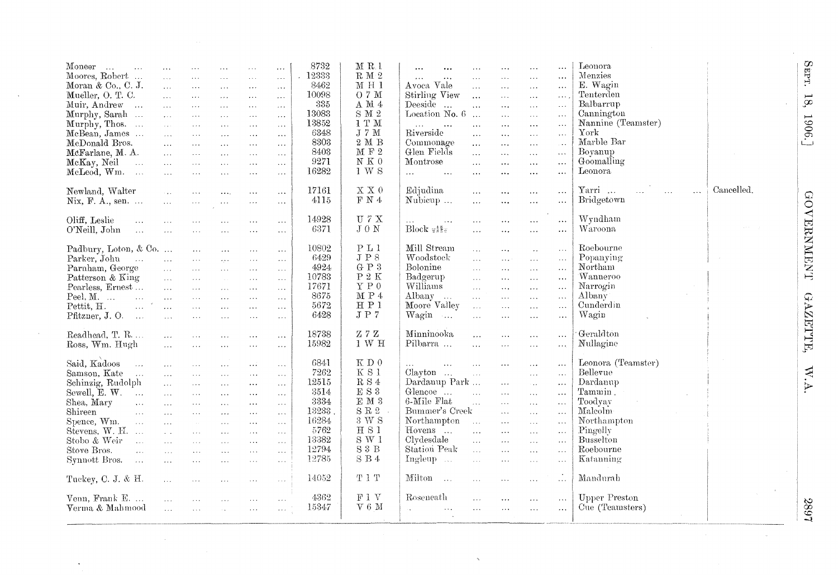| Moneer<br>$\sim$<br>$\sim$ .<br>Moores, Robert<br>$\ddotsc$<br>Moran & Co., C. J.<br>Mueller, O. T. C.<br>Muir, Andrew<br>$\cdots$<br>Murphy, Sarah<br>Murphy, Thos.<br>McBean, James<br>McDonald Bros.<br>McFarlane, M. A.<br>McKay, Neil<br>$\sim$ .<br>McLeod, Wm.<br>$\sim 100$               | $\mathbf{1}$<br>$\ddotsc$<br>$\ddotsc$<br>$\mathbf{r}$ .<br>$\ddotsc$<br>$\mathcal{L}_{\mathrm{S}}$ .<br>$\sim$ .<br>$\sim 10^{-1}$<br>$\sim 10^{-1}$<br>$\Delta\Delta\Delta$<br>$\sim$ $\sim$<br>$\cdots$ | $\sim 100$<br>$\sim$ .<br>$\ldots$<br>$\ldots$<br>$\ldots$<br>$\sim$ $\sim$ $\sim$<br>$\sim 100$<br>$\sim$ . $\sim$<br>$\sim 100$<br>$\sim 100$<br>$\ldots$               | $\ldots$<br>$\ldots$<br>$\sim$ .<br>$\ldots$<br>$\sim$ $\sim$ $\sim$<br>$\sim 100$<br>$\cdots$<br>$\sim$ $\sim$ $\sim$<br>$\sim$ $\sim$ $\sim$<br>$\ldots$<br>$\sim 100$ | $\cdots$<br>$\sim$ .<br>$\ldots$<br>$\sim$ $\sim$ $\sim$<br>$\sim 100$<br>$\sim$ $\sim$<br>$\sim$ $\sim$ $\sim$<br>$\sim 100$<br>$\ldots$ .<br>$\sim$ $\sim$ $\sim$<br>$\sim 100$<br>$\sim$ $\sim$ | $\mathbf{r}$<br>$\ldots$<br>$\ldots$<br>$\ldots$<br>$\ldots$<br>$\ldots$<br>$\sim$ $\sim$<br>$\ldots$ .<br>$\sim$ $\sim$<br>$\sim 100$<br>$\ldots$<br>$\ldots$                                                  | 8732<br>.12333<br>8462<br>10098<br>335<br>13083<br>13852<br>6348<br>8303<br>8403<br>9271<br>16282 | $M$ R $l$<br>R M 2<br>MH1<br>O 7 M<br>$\Lambda$ M $4$<br>$\mathrm{S}$ M $2$<br>1 T M<br>$\rm J$ 7 $\rm M$<br>$2M B$<br>$\mathbbm{M}$ F 2<br>${\bf N}$ K $0$<br>1 W S            | $\cdots$<br>$\ddotsc$<br>$\ldots$<br>$\cdots$<br>$\ddotsc$<br>Avoca Vale<br>$\sim$ .<br>Stirling View<br>$\ddotsc$<br>Deeside<br>$\ddotsc$<br>$\cdots$<br>Location No. $6 \dots$<br>$\ddots$<br>$\ddotsc$<br>$\sim 10$ $\sim$<br>Riverside<br>$\cdots$<br>Commonage<br>$\ldots$<br>Glen Fields<br>$\sim$ .<br>Montrose<br>$\ddotsc$<br>$\sim 100$<br>$\ldots$<br>$\cdots$ | $\ddotsc$<br>$\sim 10$ km $^{-1}$<br>$\ldots$<br>$\sim$ $\sim$ $\sim$<br>$\sim 10$<br>$\ldots$<br>$\sim$ $\sim$<br>$\sim$ $\sim$<br>$\sim$ $\sim$ $\sim$<br>$\sim$ .<br>$\sim$ $\sim$<br>$\ldots$ | $\cdots$<br>$\cdots$<br>$\ldots$<br>$\ldots$<br>$\sim$ .<br>$\sim 10$<br>$\ddotsc$<br>$\Delta \sim 10$<br>$\sim 100$<br>$\ldots$<br>$\sim$ $\sim$ $\sim$<br>$\ldots$                           | $\ddotsc$<br>$\cdots$<br>$\ldots$<br>$\ldots$<br>$\ldots$<br>$\ddotsc$<br>$\ldots$<br>$\ddotsc$<br>$\sim$ $\sim$<br>$\dots$<br>$\ldots$ | Leonora<br>Menzies<br>E. Wagin<br>Tenterden<br>Balbarrup<br>Cannington<br>Nannine (Teamster)<br>York<br>Marble Bar<br>Boyanup<br>Goomaling<br>Leonora |            |
|---------------------------------------------------------------------------------------------------------------------------------------------------------------------------------------------------------------------------------------------------------------------------------------------------|------------------------------------------------------------------------------------------------------------------------------------------------------------------------------------------------------------|---------------------------------------------------------------------------------------------------------------------------------------------------------------------------|--------------------------------------------------------------------------------------------------------------------------------------------------------------------------|----------------------------------------------------------------------------------------------------------------------------------------------------------------------------------------------------|-----------------------------------------------------------------------------------------------------------------------------------------------------------------------------------------------------------------|---------------------------------------------------------------------------------------------------|---------------------------------------------------------------------------------------------------------------------------------------------------------------------------------|---------------------------------------------------------------------------------------------------------------------------------------------------------------------------------------------------------------------------------------------------------------------------------------------------------------------------------------------------------------------------|---------------------------------------------------------------------------------------------------------------------------------------------------------------------------------------------------|------------------------------------------------------------------------------------------------------------------------------------------------------------------------------------------------|-----------------------------------------------------------------------------------------------------------------------------------------|-------------------------------------------------------------------------------------------------------------------------------------------------------|------------|
| Newland, Walter<br>Nix, F. A., sen. $\ldots$                                                                                                                                                                                                                                                      | $\sim$<br>$\bar{\mathcal{L}}$ .                                                                                                                                                                            | $\sim 100$                                                                                                                                                                | $\cdots$                                                                                                                                                                 | $\sim$ $\sim$<br>$\ldots$                                                                                                                                                                          | $\ldots$<br>$\ldots$                                                                                                                                                                                            | 17161<br>4115                                                                                     | $\mathbb{X} \ \mathbb{X} \ 0$<br>$\rm F$ N $4$                                                                                                                                  | Edjudina<br>$\ldots$<br>Nubicup<br>$\cdots$                                                                                                                                                                                                                                                                                                                               | $\sim$ $\sim$ $\sim$<br>$\ddotsc$                                                                                                                                                                 | $\ldots$<br>$\sim$ $\sim$                                                                                                                                                                      | $\cdots$<br>$\ldots$                                                                                                                    | Yarri<br>$\ddotsc$<br>$\cdots$<br>$\cdots$<br>Bridgetown                                                                                              | Cancelled. |
| Oliff, Leslie<br>$\ldots$<br>O'Neill, John<br>$\sim$ . $\sim$                                                                                                                                                                                                                                     | $\sim$ $\sim$<br>$\ldots$                                                                                                                                                                                  | $\ldots$<br>$\sim$ $\sim$                                                                                                                                                 | $\ldots$<br>$\sim$ $\sim$ $\sim$                                                                                                                                         | $\cdots$<br>$\ldots$                                                                                                                                                                               | $\ldots$<br>$\ldots$                                                                                                                                                                                            | 14928<br>6371                                                                                     | U 7 X<br>$J_0 N$                                                                                                                                                                | $\sim$ .<br>$\sim$ $\sim$<br>$Block \frac{48}{352}$<br>$\ldots$                                                                                                                                                                                                                                                                                                           | $\ldots$<br>$\ddotsc$                                                                                                                                                                             | $\cdots$<br>$\sim$ $\sim$                                                                                                                                                                      | $\ldots$<br>$\ldots$                                                                                                                    | Wyndham<br>Waroona                                                                                                                                    |            |
| Padbury, Loton, & Co.<br>Parker, John<br>$\sim 100$<br>Parnham, George<br>Patterson & King<br>Pearless, Ernest<br>Peel, $M$ .<br>$\mathbf{r}$<br>$\sim 10^{-10}$<br>Pettit, H.<br>Pfitzner, J.O.<br>$\sim$                                                                                        | $\sim 10^{-1}$<br>$\mathbf{1}$<br>$\mathbf{1}$<br>$\cdots$<br>$\sim 10^{-1}$<br>$\mathbf{r}$<br>$\mathbf{1}$                                                                                               | $\sim$ $\sim$ $\sim$<br>$\sim 100$<br>$\mathbf{1}$<br>$\sim$ $\sim$ $\sim$<br>$\sim 100$<br>$\sim 100$<br>$\sim$ .<br>$\sim 100$                                          | $\sim$ $\sim$ $\sim$<br>$\mathcal{L}_{\mathcal{F}}$ .<br>$\sim$ $\sim$ $\sim$<br>$\sim 10^{-1}$<br>$\sim$ $\sim$<br>$\cdots$<br>$\sim 100$<br>$\ldots$                   | $\sim$ $\times$ $\times$<br>$\sim$ $\sim$ $\sim$<br>$\ldots$<br>$\sim$ . $\sim$<br>$\mathbf{r}$<br>$\ldots$ .<br>$\sim$ $\sim$ $\sim$<br>$\ldots$                                                  | $\ldots$<br>$\ldots$<br>$\cdots$<br>$\sim 10$<br>$\cdots$<br>$\sim$ $\sim$ $\sim$<br>$\ldots$<br>$\ldots$                                                                                                       | 10802<br>6429<br>4924<br>10783<br>17671<br>8675<br>5672<br>6428                                   | P <sub>L</sub> 1<br>$J\ P\ 8$<br>G P 3<br>$\rm P$ 2 $\rm K$<br>Y P 0<br>M P 4<br>H P 1<br>J P 7                                                                                 | Mill Stream<br>$\sim 100$<br>Woodstock<br>$\mathbf{r}$<br>Bolonine<br>$\ldots$<br>Badgerup<br>$\sim$ .<br>Williams<br>$\sim 100$<br>Albany<br>$\sim 100$ km $^{-1}$<br>$\sim 100$<br>Moore Valley<br>$\sim$<br>Wagin<br>$\sim$ .                                                                                                                                          | $\sim$ $\sim$ $\sim$<br>$\ldots$<br>$\sim 10$<br>$\sim$ $\sim$<br>$\ldots$<br>$\sim$ $\sim$ $\sim$<br>$\sim 100$<br>$\ldots$                                                                      | $\sim$ .<br>$\sim$ $\sim$<br>$\cdots$<br>$\sim$ $\sim$ $\sim$<br>$\alpha$ and $\alpha$<br>$\sim$<br>$\sim$<br>$\cdots$                                                                         | $\sim$ .<br>$\sim$ .<br>$\mathcal{L}_{\mathcal{F}}$ .<br>$\sim 10^{-1}$<br>$\ldots$<br>$\ldots$<br>$\sim$ $\sim$<br>$\ddotsc$           | Roebourne<br>Popanying<br>Northam<br>Wanneroo<br>Narrogin<br>Albany<br>Cunderdin<br>Wagin                                                             |            |
| Readhead, T. R<br>Ross, Wm. Hugh                                                                                                                                                                                                                                                                  | $\cdots$<br>$\mathcal{L}_{\text{max}}$                                                                                                                                                                     | $\sim 100$<br>$\ldots$                                                                                                                                                    | $\sim$ $\sim$<br>$\sim$                                                                                                                                                  | $\sim$ $\sim$ $\sim$<br>$\sim$ $\sim$ $\sim$                                                                                                                                                       | $\sim$ $\sim$ $\sim$<br>$\cdots$                                                                                                                                                                                | 18738<br>15982                                                                                    | ZZZ<br>1 W H                                                                                                                                                                    | Minninooka<br>$\sim$ .<br>Pilbarra<br>$\ddotsc$                                                                                                                                                                                                                                                                                                                           | $\ldots$<br>$\ldots$                                                                                                                                                                              | $\cdots$<br>$\ldots$                                                                                                                                                                           | $\ddotsc$<br>$\ldots$                                                                                                                   | Geraldton<br>Nullagine                                                                                                                                |            |
| Said, Kadoos<br>$\sim 100$<br>Samson, Kate<br>$\sim 100$<br>Schinzig, Rudolph<br>Sewell, $E. W. \dots$<br>Shea, Mary<br>$\ddotsc$<br>Shireen<br>$\sim$<br>Spence, Wm.<br>$\sim$<br>Stevens, $W. H.$<br>Stobo & Weir<br>$\mathbf{A}$<br>Stove Bros.<br>$\mathbf{1}$<br>Synnott Bros.<br>$\sim 100$ | $\sim 100$<br>$\sim$ .<br>$\sim 100$<br>$\sim 100$<br>$\cdot$ .<br>$\mathbf{1}$<br>$\sim 10^{-1}$<br>$\sim 10$<br>$\sim$ . $\sim$<br>$\ldots$<br>$\sim 100$                                                | $\sim$ $\sim$ $\sim$<br>$\sim 100$<br>$\sim 100$<br>$\sim 100$<br>$\sim 100$<br>$\sim 100$<br>$\sim 10^{-11}$<br>$\sim 10$<br>$\sim 100$<br>$\sim$ . $\sim$<br>$\sim 100$ | $\cdots$<br>$\sim$ $\sim$ $\sim$<br>$\ldots$ .<br>$\sim$ $\sim$<br>$\sim 100$<br>$\sim$<br>$\sim$ $\sim$ $\sim$<br>$\cdots$<br>$\cdots$<br>$\sim 100$<br>$\sim 100$      | $\ldots$<br>$\ldots$ .<br>$\sim$ $\sim$<br>$\sim 100$<br>$\sim$ $\sim$<br>$\ldots$<br>$\ldots$<br>$\sim$ . $\sim$<br>$\cdots$<br>$\sim$ $\sim$ $\sim$<br>$\sim$ $\sim$ $\sim$                      | $\ldots$<br>$\sim$ $\sim$ $\sim$<br>$\sim$ $\sim$ $\sim$<br>$\sim$ $\sim$<br>$\sim$ $\sim$<br>$\cdots$<br>$\sim$ $\sim$ $\sim$<br>$\sim$ . $\sim$<br>$\sim$ $\sim$ $\sim$<br>$\sim 100$<br>$\sim$ $\sim$ $\sim$ | 6841<br>7262<br>12515<br>3514<br>3334<br>13233<br>16284<br>5762<br>13382<br>12794<br>12785        | K D 0<br>$\rm K$ S 1<br>$\mathcal{R}\ \mathcal{S}\ 4$<br>$\mathop{\hbox{\bf E}}$ S <sup>3</sup><br>$\mathbbm{E}$ M $\,3$<br>S R 2<br>3 W S<br>H S1<br>$S \tW 1$<br>S3B<br>S B 4 | $\ldots$<br>$\sim$<br>$Clavton$<br>$\sim$<br>Dardanup Park<br>Glencoe<br>$\sim$<br>6-Mile Flat<br>$\mathbb{R}^2$<br>Bummer's Creek<br>Northampton<br>$\sim 100$<br>Hovens<br>$\mathbf{1}$<br>Clydesdale<br>$\ddotsc$<br>Station Peak<br>$\sim 10$<br>Ingleup<br>$\mathbf{r}$                                                                                              | $\cdots$<br>$\sim$ - $\sim$<br>$\sim 100$<br>$\sim$ $\sim$<br>$\sim 100$<br>$\sim$ $\sim$ $\sim$<br>$\sim$ $\sim$ $\sim$<br>$\sim$ $\sim$ $\sim$<br>$\ldots$<br>$\sim 10$                         | $\sim$ $\sim$ $\sim$<br>$\sim$ $\sim$ $\sim$<br>$\sim$ .<br>$\sim$ . $\sim$<br>$\ddotsc$<br>$\ddotsc$<br>$\sim 100$<br>$\lambda$ . $\lambda$<br>$\ldots$<br>$\sim$ $\sim$ $\sim$<br>$\sim 100$ | $\ldots$<br>$\ldots$<br>$\ldots$<br>$\ddotsc$<br>$\ddotsc$<br>$\ldots$<br>$\cdots$<br>$\sim$<br>$\ldots$<br>$\ldots$<br>$\ddotsc$       | Leonora (Teamster)<br>Bellevue<br>Dardanup<br>Tammin.<br>Toodvay<br>Malcolm<br>Northampton<br>Pingelly<br>Busselton<br>Roebourne<br>Katanning         |            |
| Tuckey, C. J. & H.<br>Venn, Frank E.<br>Verma & Mahmood                                                                                                                                                                                                                                           | $\sim 100$<br>$\mathbf{A}$<br>$\bar{z}$ . $\bar{z}$                                                                                                                                                        | $\sim 100$<br>$\sim$<br>$\sim$ $\sim$ $\sim$                                                                                                                              | $\sim$ $\sim$ $\sim$<br>$\sim$ $\sim$                                                                                                                                    | $\ldots$<br>$\cdots$<br>$\ldots$                                                                                                                                                                   | $\sim 100$<br>$\sim$ $\sim$ $\sim$<br>$\sim$ $\sim$ $\sim$                                                                                                                                                      | 14052<br>4362<br>15347                                                                            | T 1 T<br>F1V<br>$V_6M$                                                                                                                                                          | Milton<br>$\sim$<br>$\ldots$<br>Roseneath<br>$\ldots$<br>$\mathbb{R}^2$<br>$\ldots$<br>$\ldots$                                                                                                                                                                                                                                                                           | $\sim 100$<br>$\ldots$<br>$\cdots$                                                                                                                                                                | $\ddotsc$<br>$\sim$ $\sim$ $\sim$<br>$\cdots$                                                                                                                                                  | $\mathbb{Z}$<br>$\sim$ $\sim$<br>$\ldots$                                                                                               | Mandurah<br><b>Upper Preston</b><br>Cue (Teamsters)                                                                                                   |            |
|                                                                                                                                                                                                                                                                                                   |                                                                                                                                                                                                            |                                                                                                                                                                           |                                                                                                                                                                          |                                                                                                                                                                                                    |                                                                                                                                                                                                                 |                                                                                                   |                                                                                                                                                                                 |                                                                                                                                                                                                                                                                                                                                                                           |                                                                                                                                                                                                   |                                                                                                                                                                                                |                                                                                                                                         |                                                                                                                                                       |            |

 $\cdot$ 

SEPT. 18, 1906.]

 $\bar{\lambda}$ 

GOVERNMENT GAZETTE, W.A.

2897

 $\omega$